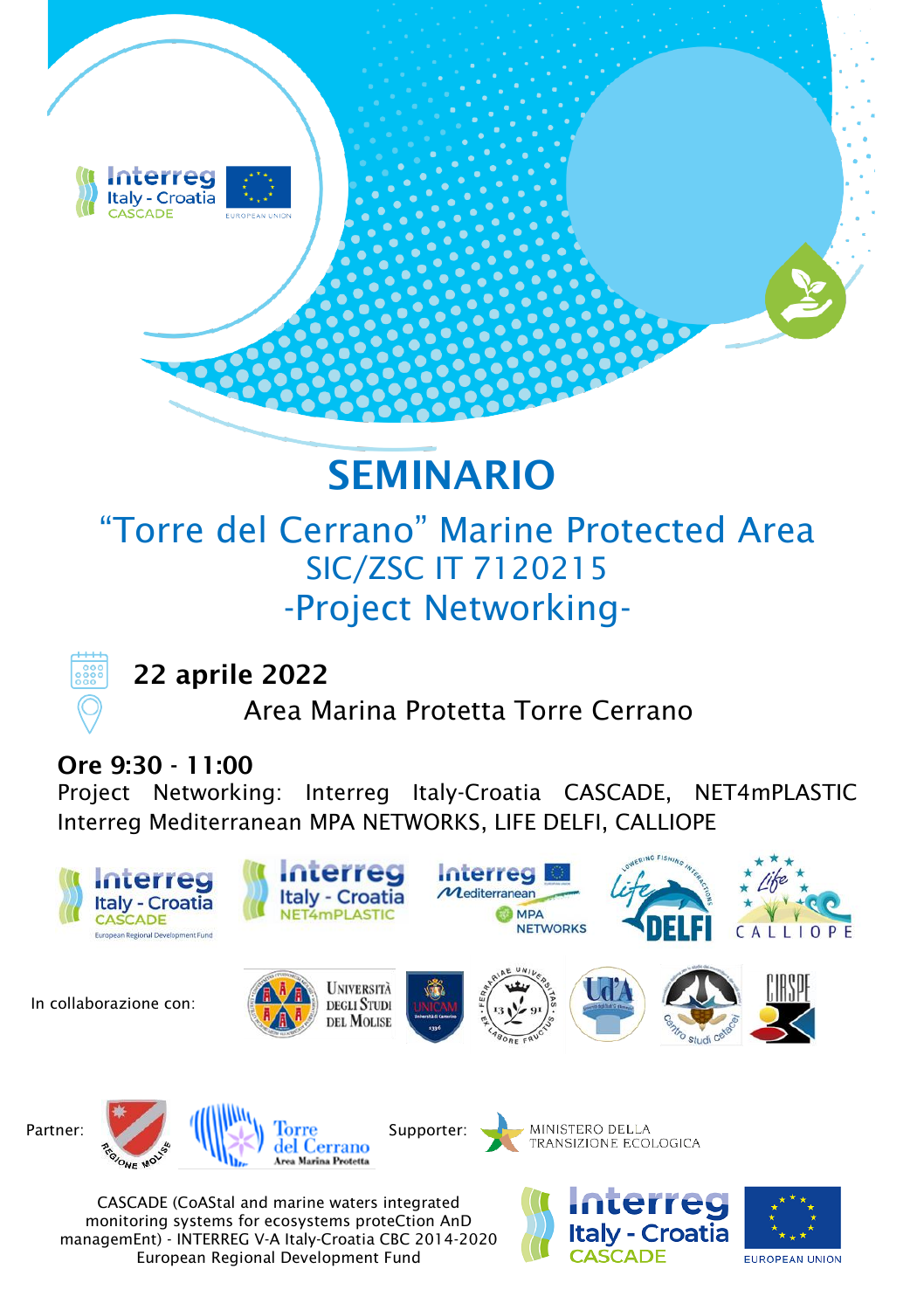

## **SEMINARIO**

## "Torre del Cerrano" Marine Protected Area SIC/ZSC IT 7120215 -Project Networking-



 **22 aprile 2022** 

Area Marina Protetta Torre Cerrano

## **Ore 9:30 - 11:00**

Project Networking: Interreg Italy-Croatia CASCADE, NET4mPLASTIC Interreg Mediterranean MPA NETWORKS, LIFE DELFI, CALLIOPE



monitoring systems for ecosystems proteCtion AnD managemEnt) - INTERREG V-A Italy-Croatia CBC 2014-2020 European Regional Development Fund

**EUROPEAN UNION** 

Italy - Croatia **CASCADE**